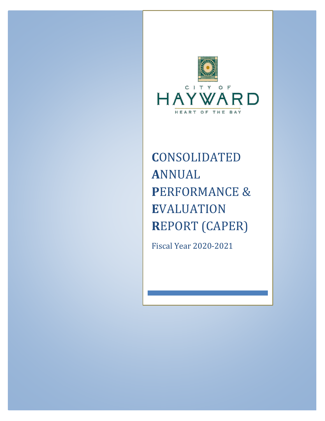

# **C**ONSOLIDATED **A**NNUAL **P**ERFORMANCE & **E**VALUATION **R**EPORT (CAPER)

Fiscal Year 2020-2021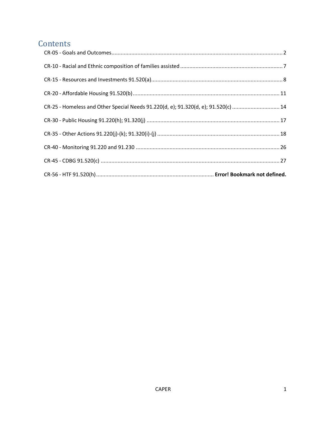## Contents

<span id="page-1-0"></span>

| CR-25 - Homeless and Other Special Needs 91.220(d, e); 91.320(d, e); 91.520(c)  14 |
|------------------------------------------------------------------------------------|
|                                                                                    |
|                                                                                    |
|                                                                                    |
|                                                                                    |
|                                                                                    |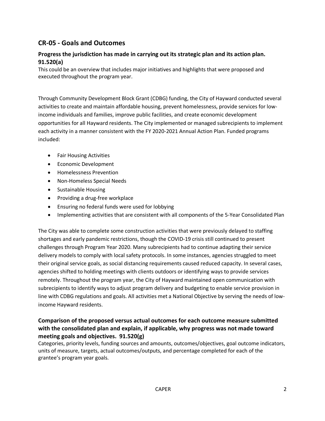### **CR-05 - Goals and Outcomes**

### **Progress the jurisdiction has made in carrying out its strategic plan and its action plan. 91.520(a)**

This could be an overview that includes major initiatives and highlights that were proposed and executed throughout the program year.

Through Community Development Block Grant (CDBG) funding, the City of Hayward conducted several activities to create and maintain affordable housing, prevent homelessness, provide services for lowincome individuals and families, improve public facilities, and create economic development opportunities for all Hayward residents. The City implemented or managed subrecipients to implement each activity in a manner consistent with the FY 2020-2021 Annual Action Plan. Funded programs included:

- Fair Housing Activities
- Economic Development
- Homelessness Prevention
- Non-Homeless Special Needs
- Sustainable Housing
- Providing a drug-free workplace
- Ensuring no federal funds were used for lobbying
- Implementing activities that are consistent with all components of the 5-Year Consolidated Plan

The City was able to complete some construction activities that were previously delayed to staffing shortages and early pandemic restrictions, though the COVID-19 crisis still continued to present challenges through Program Year 2020. Many subrecipients had to continue adapting their service delivery models to comply with local safety protocols. In some instances, agencies struggled to meet their original service goals, as social distancing requirements caused reduced capacity. In several cases, agencies shifted to holding meetings with clients outdoors or identifying ways to provide services remotely. Throughout the program year, the City of Hayward maintained open communication with subrecipients to identify ways to adjust program delivery and budgeting to enable service provision in line with CDBG regulations and goals. All activities met a National Objective by serving the needs of lowincome Hayward residents.

### **Comparison of the proposed versus actual outcomes for each outcome measure submitted with the consolidated plan and explain, if applicable, why progress was not made toward meeting goals and objectives. 91.520(g)**

Categories, priority levels, funding sources and amounts, outcomes/objectives, goal outcome indicators, units of measure, targets, actual outcomes/outputs, and percentage completed for each of the grantee's program year goals.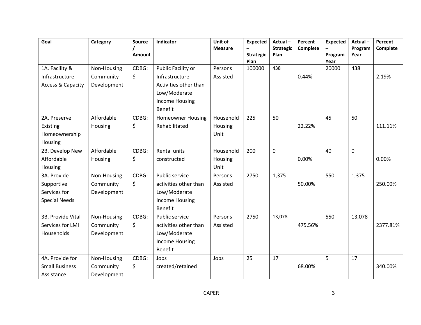| Goal                  | Category    | <b>Source</b> | <b>Indicator</b>         | Unit of        | <b>Expected</b>          | Actual-          | Percent  | <b>Expected</b> | Actual-     | Percent  |
|-----------------------|-------------|---------------|--------------------------|----------------|--------------------------|------------------|----------|-----------------|-------------|----------|
|                       |             |               |                          | <b>Measure</b> |                          | <b>Strategic</b> | Complete |                 | Program     | Complete |
|                       |             | Amount        |                          |                | <b>Strategic</b><br>Plan | Plan             |          | Program<br>Year | Year        |          |
| 1A. Facility &        | Non-Housing | CDBG:         | Public Facility or       | Persons        | 100000                   | 438              |          | 20000           | 438         |          |
| Infrastructure        | Community   | \$            | Infrastructure           | Assisted       |                          |                  | 0.44%    |                 |             | 2.19%    |
| Access & Capacity     | Development |               | Activities other than    |                |                          |                  |          |                 |             |          |
|                       |             |               | Low/Moderate             |                |                          |                  |          |                 |             |          |
|                       |             |               | <b>Income Housing</b>    |                |                          |                  |          |                 |             |          |
|                       |             |               | <b>Benefit</b>           |                |                          |                  |          |                 |             |          |
| 2A. Preserve          | Affordable  | CDBG:         | <b>Homeowner Housing</b> | Household      | 225                      | 50               |          | 45              | 50          |          |
| Existing              | Housing     | \$            | Rehabilitated            | Housing        |                          |                  | 22.22%   |                 |             | 111.11%  |
| Homeownership         |             |               |                          | Unit           |                          |                  |          |                 |             |          |
| Housing               |             |               |                          |                |                          |                  |          |                 |             |          |
| 2B. Develop New       | Affordable  | CDBG:         | <b>Rental units</b>      | Household      | 200                      | $\mathbf 0$      |          | 40              | $\mathbf 0$ |          |
| Affordable            | Housing     | \$            | constructed              | Housing        |                          |                  | 0.00%    |                 |             | 0.00%    |
| Housing               |             |               |                          | Unit           |                          |                  |          |                 |             |          |
| 3A. Provide           | Non-Housing | CDBG:         | Public service           | Persons        | 2750                     | 1,375            |          | 550             | 1,375       |          |
| Supportive            | Community   | \$            | activities other than    | Assisted       |                          |                  | 50.00%   |                 |             | 250.00%  |
| Services for          | Development |               | Low/Moderate             |                |                          |                  |          |                 |             |          |
| <b>Special Needs</b>  |             |               | <b>Income Housing</b>    |                |                          |                  |          |                 |             |          |
|                       |             |               | <b>Benefit</b>           |                |                          |                  |          |                 |             |          |
| 3B. Provide Vital     | Non-Housing | CDBG:         | Public service           | Persons        | 2750                     | 13,078           |          | 550             | 13,078      |          |
| Services for LMI      | Community   | \$            | activities other than    | Assisted       |                          |                  | 475.56%  |                 |             | 2377.81% |
| Households            | Development |               | Low/Moderate             |                |                          |                  |          |                 |             |          |
|                       |             |               | <b>Income Housing</b>    |                |                          |                  |          |                 |             |          |
|                       |             |               | <b>Benefit</b>           |                |                          |                  |          |                 |             |          |
| 4A. Provide for       | Non-Housing | CDBG:         | Jobs                     | Jobs           | 25                       | 17               |          | 5               | 17          |          |
| <b>Small Business</b> | Community   | \$            | created/retained         |                |                          |                  | 68.00%   |                 |             | 340.00%  |
| Assistance            | Development |               |                          |                |                          |                  |          |                 |             |          |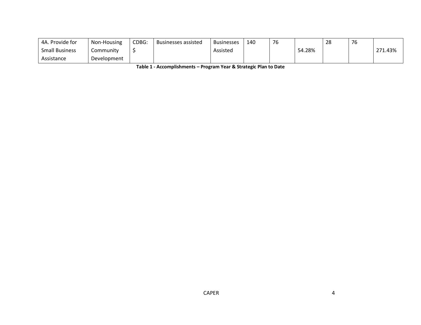| 4A. Provide for       | Non-Housing | CDBG: | <b>Businesses assisted</b> | <b>Businesses</b> | 140 | 76 |        | 28 | $\overline{\phantom{a}}$<br>, പ |         |
|-----------------------|-------------|-------|----------------------------|-------------------|-----|----|--------|----|---------------------------------|---------|
| <b>Small Business</b> | Community   |       |                            | Assisted          |     |    | 54.28% |    |                                 | 271.43% |
| Assistance            | Development |       |                            |                   |     |    |        |    |                                 |         |

**Table 1 - Accomplishments – Program Year & Strategic Plan to Date**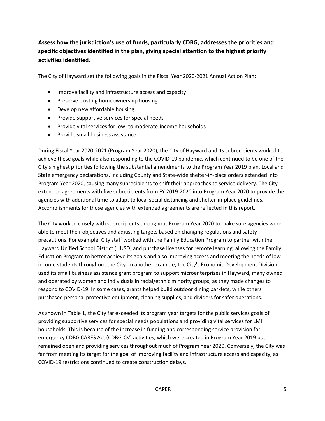### **Assess how the jurisdiction's use of funds, particularly CDBG, addresses the priorities and specific objectives identified in the plan, giving special attention to the highest priority activities identified.**

The City of Hayward set the following goals in the Fiscal Year 2020-2021 Annual Action Plan:

- Improve facility and infrastructure access and capacity
- Preserve existing homeownership housing
- Develop new affordable housing
- Provide supportive services for special needs
- Provide vital services for low- to moderate-income households
- Provide small business assistance

During Fiscal Year 2020-2021 (Program Year 2020), the City of Hayward and its subrecipients worked to achieve these goals while also responding to the COVID-19 pandemic, which continued to be one of the City's highest priorities following the substantial amendments to the Program Year 2019 plan. Local and State emergency declarations, including County and State-wide shelter-in-place orders extended into Program Year 2020, causing many subrecipients to shift their approaches to service delivery. The City extended agreements with five subrecipients from FY 2019-2020 into Program Year 2020 to provide the agencies with additional time to adapt to local social distancing and shelter-in-place guidelines. Accomplishments for those agencies with extended agreements are reflected in this report.

The City worked closely with subrecipients throughout Program Year 2020 to make sure agencies were able to meet their objectives and adjusting targets based on changing regulations and safety precautions. For example, City staff worked with the Family Education Program to partner with the Hayward Unified School District (HUSD) and purchase licenses for remote learning, allowing the Family Education Program to better achieve its goals and also improving access and meeting the needs of lowincome students throughout the City. In another example, the City's Economic Development Division used its small business assistance grant program to support microenterprises in Hayward, many owned and operated by women and individuals in racial/ethnic minority groups, as they made changes to respond to COVID-19. In some cases, grants helped build outdoor dining parklets, while others purchased personal protective equipment, cleaning supplies, and dividers for safer operations.

As shown in Table 1, the City far exceeded its program year targets for the public services goals of providing supportive services for special needs populations and providing vital services for LMI households. This is because of the increase in funding and corresponding service provision for emergency CDBG CARES Act (CDBG-CV) activities, which were created in Program Year 2019 but remained open and providing services throughout much of Program Year 2020. Conversely, the City was far from meeting its target for the goal of improving facility and infrastructure access and capacity, as COVID-19 restrictions continued to create construction delays.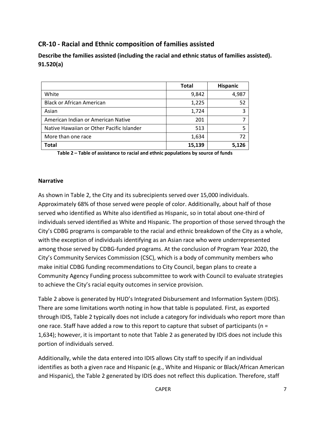### <span id="page-7-0"></span>**CR-10 - Racial and Ethnic composition of families assisted**

**Describe the families assisted (including the racial and ethnic status of families assisted). 91.520(a)**

|                                           | <b>Total</b> | <b>Hispanic</b> |
|-------------------------------------------|--------------|-----------------|
| White                                     | 9,842        | 4,987           |
| <b>Black or African American</b>          | 1,225        | 52              |
| Asian                                     | 1,724        |                 |
| American Indian or American Native        | 201          |                 |
| Native Hawaiian or Other Pacific Islander | 513          |                 |
| More than one race                        | 1,634        |                 |
| <b>Total</b>                              | 15,139       | 5.126           |

**Table 2 – Table of assistance to racial and ethnic populations by source of funds**

#### **Narrative**

As shown in Table 2, the City and its subrecipients served over 15,000 individuals. Approximately 68% of those served were people of color. Additionally, about half of those served who identified as White also identified as Hispanic, so in total about one-third of individuals served identified as White and Hispanic. The proportion of those served through the City's CDBG programs is comparable to the racial and ethnic breakdown of the City as a whole, with the exception of individuals identifying as an Asian race who were underrepresented among those served by CDBG-funded programs. At the conclusion of Program Year 2020, the City's Community Services Commission (CSC), which is a body of community members who make initial CDBG funding recommendations to City Council, began plans to create a Community Agency Funding process subcommittee to work with Council to evaluate strategies to achieve the City's racial equity outcomes in service provision.

Table 2 above is generated by HUD's Integrated Disbursement and Information System (IDIS). There are some limitations worth noting in how that table is populated. First, as exported through IDIS, Table 2 typically does not include a category for individuals who report more than one race. Staff have added a row to this report to capture that subset of participants ( $n =$ 1,634); however, it is important to note that Table 2 as generated by IDIS does not include this portion of individuals served.

Additionally, while the data entered into IDIS allows City staff to specify if an individual identifies as both a given race and Hispanic (e.g., White and Hispanic or Black/African American and Hispanic), the Table 2 generated by IDIS does not reflect this duplication. Therefore, staff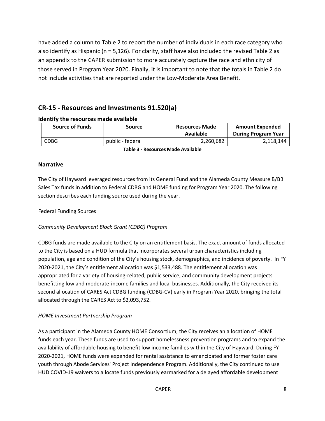have added a column to Table 2 to report the number of individuals in each race category who also identify as Hispanic (n = 5,126). For clarity, staff have also included the revised Table 2 as an appendix to the CAPER submission to more accurately capture the race and ethnicity of those served in Program Year 2020. Finally, it is important to note that the totals in Table 2 do not include activities that are reported under the Low-Moderate Area Benefit.

### <span id="page-8-0"></span>**CR-15 - Resources and Investments 91.520(a)**

#### **Source of Funds Source Resources Made Available Amount Expended During Program Year** CDBG public - federal 2,260,682 2,118,144

### **Identify the resources made available**

**Table 3 - Resources Made Available**

### **Narrative**

The City of Hayward leveraged resources from its General Fund and the Alameda County Measure B/BB Sales Tax funds in addition to Federal CDBG and HOME funding for Program Year 2020. The following section describes each funding source used during the year.

#### Federal Funding Sources

### *Community Development Block Grant (CDBG) Program*

CDBG funds are made available to the City on an entitlement basis. The exact amount of funds allocated to the City is based on a HUD formula that incorporates several urban characteristics including population, age and condition of the City's housing stock, demographics, and incidence of poverty. In FY 2020-2021, the City's entitlement allocation was \$1,533,488. The entitlement allocation was appropriated for a variety of housing-related, public service, and community development projects benefitting low and moderate-income families and local businesses. Additionally, the City received its second allocation of CARES Act CDBG funding (CDBG-CV) early in Program Year 2020, bringing the total allocated through the CARES Act to \$2,093,752.

#### *HOME Investment Partnership Program*

As a participant in the Alameda County HOME Consortium, the City receives an allocation of HOME funds each year. These funds are used to support homelessness prevention programs and to expand the availability of affordable housing to benefit low income families within the City of Hayward. During FY 2020-2021, HOME funds were expended for rental assistance to emancipated and former foster care youth through Abode Services' Project Independence Program. Additionally, the City continued to use HUD COVID-19 waivers to allocate funds previously earmarked for a delayed affordable development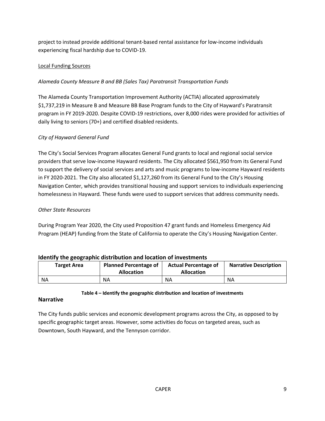project to instead provide additional tenant-based rental assistance for low-income individuals experiencing fiscal hardship due to COVID-19.

### Local Funding Sources

### *Alameda County Measure B and BB (Sales Tax) Paratransit Transportation Funds*

The Alameda County Transportation Improvement Authority (ACTIA) allocated approximately \$1,737,219 in Measure B and Measure BB Base Program funds to the City of Hayward's Paratransit program in FY 2019-2020. Despite COVID-19 restrictions, over 8,000 rides were provided for activities of daily living to seniors (70+) and certified disabled residents.

### *City of Hayward General Fund*

The City's Social Services Program allocates General Fund grants to local and regional social service providers that serve low-income Hayward residents. The City allocated \$561,950 from its General Fund to support the delivery of social services and arts and music programs to low-income Hayward residents in FY 2020-2021. The City also allocated \$1,127,260 from its General Fund to the City's Housing Navigation Center, which provides transitional housing and support services to individuals experiencing homelessness in Hayward. These funds were used to support services that address community needs.

### *Other State Resources*

During Program Year 2020, the City used Proposition 47 grant funds and Homeless Emergency Aid Program (HEAP) funding from the State of California to operate the City's Housing Navigation Center.

|                    | <u>, achini kilo yoodi ahina alga isaacigii aha idaasigii ol illi cosmono</u> |                                                  |                              |  |  |  |
|--------------------|-------------------------------------------------------------------------------|--------------------------------------------------|------------------------------|--|--|--|
| <b>Target Area</b> | <b>Planned Percentage of</b><br><b>Allocation</b>                             | <b>Actual Percentage of</b><br><b>Allocation</b> | <b>Narrative Description</b> |  |  |  |
| <b>NA</b>          | NΑ                                                                            | NΑ                                               | NΑ                           |  |  |  |

#### **Identify the geographic distribution and location of investments**

### **Table 4 – Identify the geographic distribution and location of investments**

### **Narrative**

The City funds public services and economic development programs across the City, as opposed to by specific geographic target areas. However, some activities do focus on targeted areas, such as Downtown, South Hayward, and the Tennyson corridor.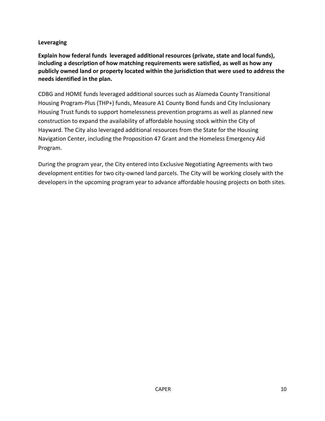### **Leveraging**

**Explain how federal funds leveraged additional resources (private, state and local funds), including a description of how matching requirements were satisfied, as well as how any publicly owned land or property located within the jurisdiction that were used to address the needs identified in the plan.**

CDBG and HOME funds leveraged additional sources such as Alameda County Transitional Housing Program-Plus (THP+) funds, Measure A1 County Bond funds and City Inclusionary Housing Trust funds to support homelessness prevention programs as well as planned new construction to expand the availability of affordable housing stock within the City of Hayward. The City also leveraged additional resources from the State for the Housing Navigation Center, including the Proposition 47 Grant and the Homeless Emergency Aid Program.

During the program year, the City entered into Exclusive Negotiating Agreements with two development entities for two city-owned land parcels. The City will be working closely with the developers in the upcoming program year to advance affordable housing projects on both sites.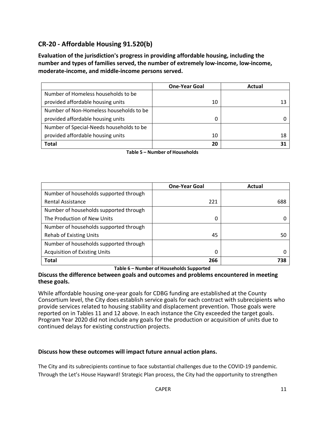### <span id="page-11-0"></span>**CR-20 - Affordable Housing 91.520(b)**

**Evaluation of the jurisdiction's progress in providing affordable housing, including the number and types of families served, the number of extremely low-income, low-income, moderate-income, and middle-income persons served.**

|                                          | <b>One-Year Goal</b> | Actual |
|------------------------------------------|----------------------|--------|
| Number of Homeless households to be      |                      |        |
| provided affordable housing units        | 10                   |        |
| Number of Non-Homeless households to be  |                      |        |
| provided affordable housing units        | 0                    |        |
| Number of Special-Needs households to be |                      |        |
| provided affordable housing units        | 10                   | 18     |
| <b>Total</b>                             | 20                   |        |

|                                        | <b>One-Year Goal</b> | Actual |
|----------------------------------------|----------------------|--------|
| Number of households supported through |                      |        |
| <b>Rental Assistance</b>               | 221                  | 688    |
| Number of households supported through |                      |        |
| The Production of New Units            | 0                    |        |
| Number of households supported through |                      |        |
| <b>Rehab of Existing Units</b>         | 45                   | 50     |
| Number of households supported through |                      |        |
| <b>Acquisition of Existing Units</b>   | 0                    |        |
| <b>Total</b>                           | 266                  | 738    |

**Table 6 – Number of Households Supported**

#### **Discuss the difference between goals and outcomes and problems encountered in meeting these goals.**

While affordable housing one-year goals for CDBG funding are established at the County Consortium level, the City does establish service goals for each contract with subrecipients who provide services related to housing stability and displacement prevention. Those goals were reported on in Tables 11 and 12 above. In each instance the City exceeded the target goals. Program Year 2020 did not include any goals for the production or acquisition of units due to continued delays for existing construction projects.

### **Discuss how these outcomes will impact future annual action plans.**

The City and its subrecipients continue to face substantial challenges due to the COVID-19 pandemic. Through the Let's House Hayward! Strategic Plan process, the City had the opportunity to strengthen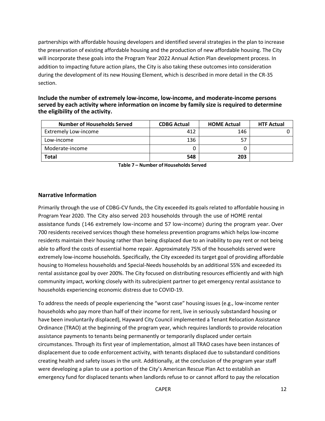partnerships with affordable housing developers and identified several strategies in the plan to increase the preservation of existing affordable housing and the production of new affordable housing. The City will incorporate these goals into the Program Year 2022 Annual Action Plan development process. In addition to impacting future action plans, the City is also taking these outcomes into consideration during the development of its new Housing Element, which is described in more detail in the CR-35 section.

| Include the number of extremely low-income, low-income, and moderate-income persons         |
|---------------------------------------------------------------------------------------------|
| served by each activity where information on income by family size is required to determine |
| the eligibility of the activity.                                                            |

| <b>Number of Households Served</b> | <b>CDBG Actual</b> | <b>HOME Actual</b> | <b>HTF Actual</b> |
|------------------------------------|--------------------|--------------------|-------------------|
| <b>Extremely Low-income</b>        | 412                | 146                |                   |
| Low-income                         | 136                | 57                 |                   |
| Moderate-income                    |                    |                    |                   |
| Total                              | 548                | 203                |                   |

**Table 7 – Number of Households Served**

#### **Narrative Information**

Primarily through the use of CDBG-CV funds, the City exceeded its goals related to affordable housing in Program Year 2020. The City also served 203 households through the use of HOME rental assistance funds (146 extremely low-income and 57 low-income) during the program year. Over 700 residents received services though these homeless prevention programs which helps low-income residents maintain their housing rather than being displaced due to an inability to pay rent or not being able to afford the costs of essential home repair. Approximately 75% of the households served were extremely low-income households. Specifically, the City exceeded its target goal of providing affordable housing to Homeless households and Special-Needs households by an additional 55% and exceeded its rental assistance goal by over 200%. The City focused on distributing resources efficiently and with high community impact, working closely with its subrecipient partner to get emergency rental assistance to households experiencing economic distress due to COVID-19.

To address the needs of people experiencing the "worst case" housing issues (e.g., low-income renter households who pay more than half of their income for rent, live in seriously substandard housing or have been involuntarily displaced), Hayward City Council implemented a Tenant Relocation Assistance Ordinance (TRAO) at the beginning of the program year, which requires landlords to provide relocation assistance payments to tenants being permanently or temporarily displaced under certain circumstances. Through its first year of implementation, almost all TRAO cases have been instances of displacement due to code enforcement activity, with tenants displaced due to substandard conditions creating health and safety issues in the unit. Additionally, at the conclusion of the program year staff were developing a plan to use a portion of the City's American Rescue Plan Act to establish an emergency fund for displaced tenants when landlords refuse to or cannot afford to pay the relocation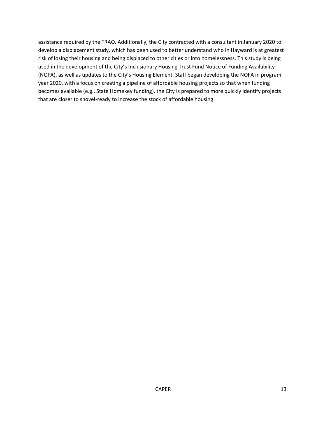assistance required by the TRAO. Additionally, the City contracted with a consultant in January 2020 to develop a displacement study, which has been used to better understand who in Hayward is at greatest risk of losing their housing and being displaced to other cities or into homelessness. This study is being used in the development of the City's Inclusionary Housing Trust Fund Notice of Funding Availability (NOFA), as well as updates to the City's Housing Element. Staff began developing the NOFA in program year 2020, with a focus on creating a pipeline of affordable housing projects so that when funding becomes available (e.g., State Homekey funding), the City is prepared to more quickly identify projects that are closer to shovel-ready to increase the stock of affordable housing.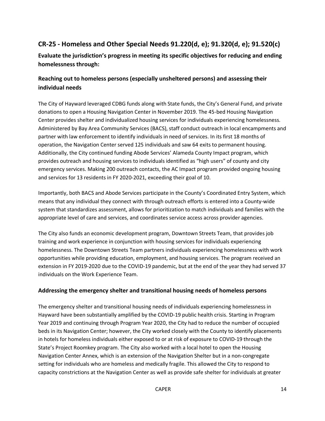### <span id="page-14-0"></span>**CR-25 - Homeless and Other Special Needs 91.220(d, e); 91.320(d, e); 91.520(c)**

### **Evaluate the jurisdiction's progress in meeting its specific objectives for reducing and ending homelessness through:**

### **Reaching out to homeless persons (especially unsheltered persons) and assessing their individual needs**

The City of Hayward leveraged CDBG funds along with State funds, the City's General Fund, and private donations to open a Housing Navigation Center in November 2019. The 45-bed Housing Navigation Center provides shelter and individualized housing services for individuals experiencing homelessness. Administered by Bay Area Community Services (BACS), staff conduct outreach in local encampments and partner with law enforcement to identify individuals in need of services. In its first 18 months of operation, the Navigation Center served 125 individuals and saw 64 exits to permanent housing. Additionally, the City continued funding Abode Services' Alameda County Impact program, which provides outreach and housing services to individuals identified as "high users" of county and city emergency services. Making 200 outreach contacts, the AC Impact program provided ongoing housing and services for 13 residents in FY 2020-2021, exceeding their goal of 10.

Importantly, both BACS and Abode Services participate in the County's Coordinated Entry System, which means that any individual they connect with through outreach efforts is entered into a County-wide system that standardizes assessment, allows for prioritization to match individuals and families with the appropriate level of care and services, and coordinates service access across provider agencies.

The City also funds an economic development program, Downtown Streets Team, that provides job training and work experience in conjunction with housing services for individuals experiencing homelessness. The Downtown Streets Team partners individuals experiencing homelessness with work opportunities while providing education, employment, and housing services. The program received an extension in FY 2019-2020 due to the COVID-19 pandemic, but at the end of the year they had served 37 individuals on the Work Experience Team.

### **Addressing the emergency shelter and transitional housing needs of homeless persons**

The emergency shelter and transitional housing needs of individuals experiencing homelessness in Hayward have been substantially amplified by the COVID-19 public health crisis. Starting in Program Year 2019 and continuing through Program Year 2020, the City had to reduce the number of occupied beds in its Navigation Center; however, the City worked closely with the County to identify placements in hotels for homeless individuals either exposed to or at risk of exposure to COVID-19 through the State's Project Roomkey program. The City also worked with a local hotel to open the Housing Navigation Center Annex, which is an extension of the Navigation Shelter but in a non-congregate setting for individuals who are homeless and medically fragile. This allowed the City to respond to capacity constrictions at the Navigation Center as well as provide safe shelter for individuals at greater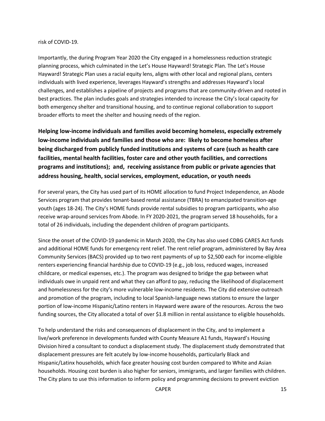#### risk of COVID-19.

Importantly, the during Program Year 2020 the City engaged in a homelessness reduction strategic planning process, which culminated in the Let's House Hayward! Strategic Plan. The Let's House Hayward! Strategic Plan uses a racial equity lens, aligns with other local and regional plans, centers individuals with lived experience, leverages Hayward's strengths and addresses Hayward's local challenges, and establishes a pipeline of projects and programs that are community-driven and rooted in best practices. The plan includes goals and strategies intended to increase the City's local capacity for both emergency shelter and transitional housing, and to continue regional collaboration to support broader efforts to meet the shelter and housing needs of the region.

**Helping low-income individuals and families avoid becoming homeless, especially extremely low-income individuals and families and those who are: likely to become homeless after being discharged from publicly funded institutions and systems of care (such as health care facilities, mental health facilities, foster care and other youth facilities, and corrections programs and institutions); and, receiving assistance from public or private agencies that address housing, health, social services, employment, education, or youth needs**

For several years, the City has used part of its HOME allocation to fund Project Independence, an Abode Services program that provides tenant-based rental assistance (TBRA) to emancipated transition-age youth (ages 18-24). The City's HOME funds provide rental subsidies to program participants, who also receive wrap-around services from Abode. In FY 2020-2021, the program served 18 households, for a total of 26 individuals, including the dependent children of program participants.

Since the onset of the COVID-19 pandemic in March 2020, the City has also used CDBG CARES Act funds and additional HOME funds for emergency rent relief. The rent relief program, administered by Bay Area Community Services (BACS) provided up to two rent payments of up to \$2,500 each for income-eligible renters experiencing financial hardship due to COVID-19 (e.g., job loss, reduced wages, increased childcare, or medical expenses, etc.). The program was designed to bridge the gap between what individuals owe in unpaid rent and what they can afford to pay, reducing the likelihood of displacement and homelessness for the city's more vulnerable low-income residents. The City did extensive outreach and promotion of the program, including to local Spanish-language news stations to ensure the larger portion of low-income Hispanic/Latino renters in Hayward were aware of the resources. Across the two funding sources, the City allocated a total of over \$1.8 million in rental assistance to eligible households.

To help understand the risks and consequences of displacement in the City, and to implement a live/work preference in developments funded with County Measure A1 funds, Hayward's Housing Division hired a consultant to conduct a displacement study. The displacement study demonstrated that displacement pressures are felt acutely by low-income households, particularly Black and Hispanic/Latinx households, which face greater housing cost burden compared to White and Asian households. Housing cost burden is also higher for seniors, immigrants, and larger families with children. The City plans to use this information to inform policy and programming decisions to prevent eviction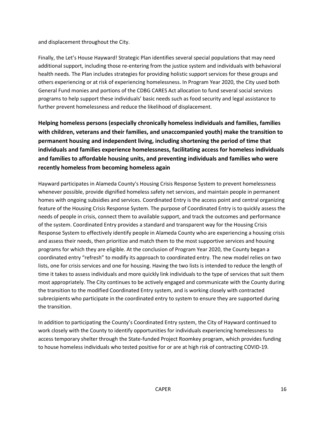and displacement throughout the City.

Finally, the Let's House Hayward! Strategic Plan identifies several special populations that may need additional support, including those re-entering from the justice system and individuals with behavioral health needs. The Plan includes strategies for providing holistic support services for these groups and others experiencing or at risk of experiencing homelessness. In Program Year 2020, the City used both General Fund monies and portions of the CDBG CARES Act allocation to fund several social services programs to help support these individuals' basic needs such as food security and legal assistance to further prevent homelessness and reduce the likelihood of displacement.

**Helping homeless persons (especially chronically homeless individuals and families, families with children, veterans and their families, and unaccompanied youth) make the transition to permanent housing and independent living, including shortening the period of time that individuals and families experience homelessness, facilitating access for homeless individuals and families to affordable housing units, and preventing individuals and families who were recently homeless from becoming homeless again**

Hayward participates in Alameda County's Housing Crisis Response System to prevent homelessness whenever possible, provide dignified homeless safety net services, and maintain people in permanent homes with ongoing subsidies and services. Coordinated Entry is the access point and central organizing feature of the Housing Crisis Response System. The purpose of Coordinated Entry is to quickly assess the needs of people in crisis, connect them to available support, and track the outcomes and performance of the system. Coordinated Entry provides a standard and transparent way for the Housing Crisis Response System to effectively identify people in Alameda County who are experiencing a housing crisis and assess their needs, then prioritize and match them to the most supportive services and housing programs for which they are eligible. At the conclusion of Program Year 2020, the County began a coordinated entry "refresh" to modify its approach to coordinated entry. The new model relies on two lists, one for crisis services and one for housing. Having the two lists is intended to reduce the length of time it takes to assess individuals and more quickly link individuals to the type of services that suit them most appropriately. The City continues to be actively engaged and communicate with the County during the transition to the modified Coordinated Entry system, and is working closely with contracted subrecipients who participate in the coordinated entry to system to ensure they are supported during the transition.

In addition to participating the County's Coordinated Entry system, the City of Hayward continued to work closely with the County to identify opportunities for individuals experiencing homelessness to access temporary shelter through the State-funded Project Roomkey program, which provides funding to house homeless individuals who tested positive for or are at high risk of contracting COVID-19.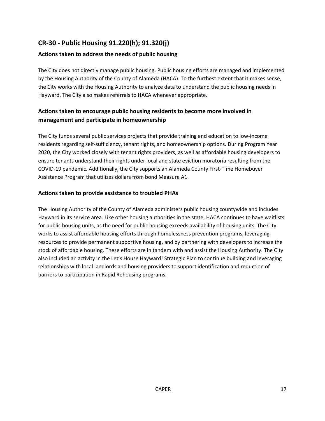### <span id="page-17-0"></span>**CR-30 - Public Housing 91.220(h); 91.320(j)**

### **Actions taken to address the needs of public housing**

The City does not directly manage public housing. Public housing efforts are managed and implemented by the Housing Authority of the County of Alameda (HACA). To the furthest extent that it makes sense, the City works with the Housing Authority to analyze data to understand the public housing needs in Hayward. The City also makes referrals to HACA whenever appropriate.

### **Actions taken to encourage public housing residents to become more involved in management and participate in homeownership**

The City funds several public services projects that provide training and education to low-income residents regarding self-sufficiency, tenant rights, and homeownership options. During Program Year 2020, the City worked closely with tenant rights providers, as well as affordable housing developers to ensure tenants understand their rights under local and state eviction moratoria resulting from the COVID-19 pandemic. Additionally, the City supports an Alameda County First-Time Homebuyer Assistance Program that utilizes dollars from bond Measure A1.

#### **Actions taken to provide assistance to troubled PHAs**

The Housing Authority of the County of Alameda administers public housing countywide and includes Hayward in its service area. Like other housing authorities in the state, HACA continues to have waitlists for public housing units, as the need for public housing exceeds availability of housing units. The City works to assist affordable housing efforts through homelessness prevention programs, leveraging resources to provide permanent supportive housing, and by partnering with developers to increase the stock of affordable housing. These efforts are in tandem with and assist the Housing Authority. The City also included an activity in the Let's House Hayward! Strategic Plan to continue building and leveraging relationships with local landlords and housing providers to support identification and reduction of barriers to participation in Rapid Rehousing programs.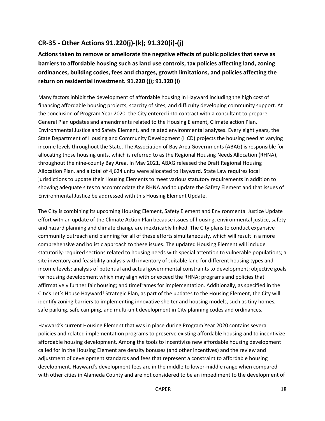### <span id="page-18-0"></span>**CR-35 - Other Actions 91.220(j)-(k); 91.320(i)-(j)**

**Actions taken to remove or ameliorate the negative effects of public policies that serve as barriers to affordable housing such as land use controls, tax policies affecting land, zoning ordinances, building codes, fees and charges, growth limitations, and policies affecting the return on residential investment. 91.220 (j); 91.320 (i)**

Many factors inhibit the development of affordable housing in Hayward including the high cost of financing affordable housing projects, scarcity of sites, and difficulty developing community support. At the conclusion of Program Year 2020, the City entered into contract with a consultant to prepare General Plan updates and amendments related to the Housing Element, Climate action Plan, Environmental Justice and Safety Element, and related environmental analyses. Every eight years, the State Department of Housing and Community Development (HCD) projects the housing need at varying income levels throughout the State. The Association of Bay Area Governments (ABAG) is responsible for allocating those housing units, which is referred to as the Regional Housing Needs Allocation (RHNA), throughout the nine-county Bay Area. In May 2021, ABAG released the Draft Regional Housing Allocation Plan, and a total of 4,624 units were allocated to Hayward. State Law requires local jurisdictions to update their Housing Elements to meet various statutory requirements in addition to showing adequate sites to accommodate the RHNA and to update the Safety Element and that issues of Environmental Justice be addressed with this Housing Element Update.

The City is combining its upcoming Housing Element, Safety Element and Environmental Justice Update effort with an update of the Climate Action Plan because issues of housing, environmental justice, safety and hazard planning and climate change are inextricably linked. The City plans to conduct expansive community outreach and planning for all of these efforts simultaneously, which will result in a more comprehensive and holistic approach to these issues. The updated Housing Element will include statutorily-required sections related to housing needs with special attention to vulnerable populations; a site inventory and feasibility analysis with inventory of suitable land for different housing types and income levels; analysis of potential and actual governmental constraints to development; objective goals for housing development which may align with or exceed the RHNA; programs and policies that affirmatively further fair housing; and timeframes for implementation. Additionally, as specified in the City's Let's House Hayward! Strategic Plan, as part of the updates to the Housing Element, the City will identify zoning barriers to implementing innovative shelter and housing models, such as tiny homes, safe parking, safe camping, and multi-unit development in City planning codes and ordinances.

Hayward's current Housing Element that was in place during Program Year 2020 contains several policies and related implementation programs to preserve existing affordable housing and to incentivize affordable housing development. Among the tools to incentivize new affordable housing development called for in the Housing Element are density bonuses (and other incentives) and the review and adjustment of development standards and fees that represent a constraint to affordable housing development. Hayward's development fees are in the middle to lower-middle range when compared with other cities in Alameda County and are not considered to be an impediment to the development of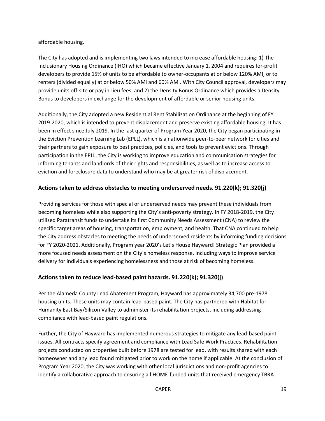#### affordable housing.

The City has adopted and is implementing two laws intended to increase affordable housing: 1) The Inclusionary Housing Ordinance (IHO) which became effective January 1, 2004 and requires for-profit developers to provide 15% of units to be affordable to owner-occupants at or below 120% AMI, or to renters (divided equally) at or below 50% AMI and 60% AMI. With City Council approval, developers may provide units off-site or pay in-lieu fees; and 2) the Density Bonus Ordinance which provides a Density Bonus to developers in exchange for the development of affordable or senior housing units.

Additionally, the City adopted a new Residential Rent Stabilization Ordinance at the beginning of FY 2019-2020, which is intended to prevent displacement and preserve existing affordable housing. It has been in effect since July 2019. In the last quarter of Program Year 2020, the City began participating in the Eviction Prevention Learning Lab (EPLL), which is a nationwide peer-to-peer network for cities and their partners to gain exposure to best practices, policies, and tools to prevent evictions. Through participation in the EPLL, the City is working to improve education and communication strategies for informing tenants and landlords of their rights and responsibilities, as well as to increase access to eviction and foreclosure data to understand who may be at greater risk of displacement.

### **Actions taken to address obstacles to meeting underserved needs. 91.220(k); 91.320(j)**

Providing services for those with special or underserved needs may prevent these individuals from becoming homeless while also supporting the City's anti-poverty strategy. In FY 2018-2019, the City utilized Paratransit funds to undertake its first Community Needs Assessment (CNA) to review the specific target areas of housing, transportation, employment, and health. That CNA continued to help the City address obstacles to meeting the needs of underserved residents by informing funding decisions for FY 2020-2021. Additionally, Program year 2020's Let's House Hayward! Strategic Plan provided a more focused needs assessment on the City's homeless response, including ways to improve service delivery for individuals experiencing homelessness and those at risk of becoming homeless.

### **Actions taken to reduce lead-based paint hazards. 91.220(k); 91.320(j)**

Per the Alameda County Lead Abatement Program, Hayward has approximately 34,700 pre-1978 housing units. These units may contain lead-based paint. The City has partnered with Habitat for Humanity East Bay/Silicon Valley to administer its rehabilitation projects, including addressing compliance with lead-based paint regulations.

Further, the City of Hayward has implemented numerous strategies to mitigate any lead-based paint issues. All contracts specify agreement and compliance with Lead Safe Work Practices. Rehabilitation projects conducted on properties built before 1978 are tested for lead, with results shared with each homeowner and any lead found mitigated prior to work on the home if applicable. At the conclusion of Program Year 2020, the City was working with other local jurisdictions and non-profit agencies to identify a collaborative approach to ensuring all HOME-funded units that received emergency TBRA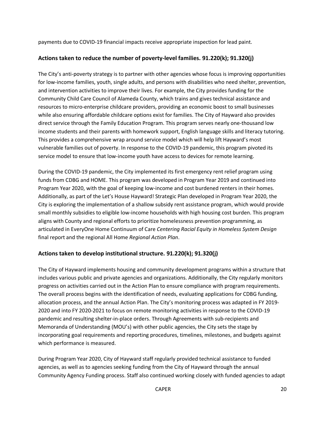payments due to COVID-19 financial impacts receive appropriate inspection for lead paint.

#### **Actions taken to reduce the number of poverty-level families. 91.220(k); 91.320(j)**

The City's anti-poverty strategy is to partner with other agencies whose focus is improving opportunities for low-income families, youth, single adults, and persons with disabilities who need shelter, prevention, and intervention activities to improve their lives. For example, the City provides funding for the Community Child Care Council of Alameda County, which trains and gives technical assistance and resources to micro-enterprise childcare providers, providing an economic boost to small businesses while also ensuring affordable childcare options exist for families. The City of Hayward also provides direct service through the Family Education Program. This program serves nearly one-thousand low income students and their parents with homework support, English language skills and literacy tutoring. This provides a comprehensive wrap around service model which will help lift Hayward's most vulnerable families out of poverty. In response to the COVID-19 pandemic, this program pivoted its service model to ensure that low-income youth have access to devices for remote learning.

During the COVID-19 pandemic, the City implemented its first emergency rent relief program using funds from CDBG and HOME. This program was developed in Program Year 2019 and continued into Program Year 2020, with the goal of keeping low-income and cost burdened renters in their homes. Additionally, as part of the Let's House Hayward! Strategic Plan developed in Program Year 2020, the City is exploring the implementation of a shallow subsidy rent assistance program, which would provide small monthly subsidies to eligible low-income households with high housing cost burden. This program aligns with County and regional efforts to prioritize homelessness prevention programming, as articulated in EveryOne Home Continuum of Care *Centering Racial Equity in Homeless System Design* final report and the regional All Home *Regional Action Plan*.

### **Actions taken to develop institutional structure. 91.220(k); 91.320(j)**

The City of Hayward implements housing and community development programs within a structure that includes various public and private agencies and organizations. Additionally, the City regularly monitors progress on activities carried out in the Action Plan to ensure compliance with program requirements. The overall process begins with the identification of needs, evaluating applications for CDBG funding, allocation process, and the annual Action Plan. The City's monitoring process was adapted in FY 2019- 2020 and into FY 2020-2021 to focus on remote monitoring activities in response to the COVID-19 pandemic and resulting shelter-in-place orders. Through Agreements with sub-recipients and Memoranda of Understanding (MOU's) with other public agencies, the City sets the stage by incorporating goal requirements and reporting procedures, timelines, milestones, and budgets against which performance is measured.

During Program Year 2020, City of Hayward staff regularly provided technical assistance to funded agencies, as well as to agencies seeking funding from the City of Hayward through the annual Community Agency Funding process. Staff also continued working closely with funded agencies to adapt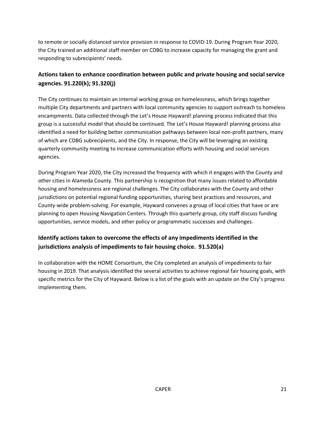to remote or socially distanced service provision in response to COVID-19. During Program Year 2020, the City trained an additional staff member on CDBG to increase capacity for managing the grant and responding to subrecipients' needs.

### **Actions taken to enhance coordination between public and private housing and social service agencies. 91.220(k); 91.320(j)**

The City continues to maintain an internal working group on homelessness, which brings together multiple City departments and partners with local community agencies to support outreach to homeless encampments. Data collected through the Let's House Hayward! planning process indicated that this group is a successful model that should be continued. The Let's House Hayward! planning process also identified a need for building better communication pathways between local non-profit partners, many of which are CDBG subrecipients, and the City. In response, the City will be leveraging an existing quarterly community meeting to increase communication efforts with housing and social services agencies.

During Program Year 2020, the City increased the frequency with which it engages with the County and other cities in Alameda County. This partnership is recognition that many issues related to affordable housing and homelessness are regional challenges. The City collaborates with the County and other jurisdictions on potential regional funding opportunities, sharing best practices and resources, and County-wide problem-solving. For example, Hayward convenes a group of local cities that have or are planning to open Housing Navigation Centers. Through this quarterly group, city staff discuss funding opportunities, service models, and other policy or programmatic successes and challenges.

### **Identify actions taken to overcome the effects of any impediments identified in the jurisdictions analysis of impediments to fair housing choice. 91.520(a)**

In collaboration with the HOME Consortium, the City completed an analysis of impediments to fair housing in 2019. That analysis identified the several activities to achieve regional fair housing goals, with specific metrics for the City of Hayward. Below is a list of the goals with an update on the City's progress implementing them.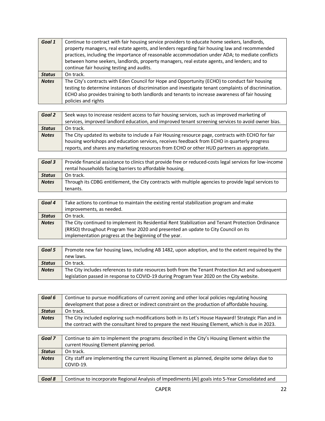| Goal 1        | Continue to contract with fair housing service providers to educate home seekers, landlords,          |
|---------------|-------------------------------------------------------------------------------------------------------|
|               | property managers, real estate agents, and lenders regarding fair housing law and recommended         |
|               | practices, including the importance of reasonable accommodation under ADA; to mediate conflicts       |
|               | between home seekers, landlords, property managers, real estate agents, and lenders; and to           |
|               | continue fair housing testing and audits.                                                             |
| <b>Status</b> | On track.                                                                                             |
| <b>Notes</b>  | The City's contracts with Eden Council for Hope and Opportunity (ECHO) to conduct fair housing        |
|               | testing to determine instances of discrimination and investigate tenant complaints of discrimination. |
|               | ECHO also provides training to both landlords and tenants to increase awareness of fair housing       |
|               | policies and rights                                                                                   |

| Goal 2        | Seek ways to increase resident access to fair housing services, such as improved marketing of<br>services, improved landlord education, and improved tenant screening services to avoid owner bias.                                                                                              |
|---------------|--------------------------------------------------------------------------------------------------------------------------------------------------------------------------------------------------------------------------------------------------------------------------------------------------|
| <b>Status</b> | On track.                                                                                                                                                                                                                                                                                        |
| <b>Notes</b>  | The City updated its website to include a Fair Housing resource page, contracts with ECHO for fair<br>housing workshops and education services, receives feedback from ECHO in quarterly progress<br>reports, and shares any marketing resources from ECHO or other HUD partners as appropriate. |

| Goal 3        | Provide financial assistance to clinics that provide free or reduced-costs legal services for low-income |
|---------------|----------------------------------------------------------------------------------------------------------|
|               | rental households facing barriers to affordable housing.                                                 |
| <b>Status</b> | On track.                                                                                                |
| <b>Notes</b>  | Through its CDBG entitlement, the City contracts with multiple agencies to provide legal services to     |
|               | tenants.                                                                                                 |

| Goal 4        | Take actions to continue to maintain the existing rental stabilization program and make            |
|---------------|----------------------------------------------------------------------------------------------------|
|               | improvements, as needed.                                                                           |
| <b>Status</b> | On track.                                                                                          |
| <b>Notes</b>  | The City continued to implement its Residential Rent Stabilization and Tenant Protection Ordinance |
|               | (RRSO) throughout Program Year 2020 and presented an update to City Council on its                 |
|               | implementation progress at the beginning of the year.                                              |

| Goal 5        | Promote new fair housing laws, including AB 1482, upon adoption, and to the extent required by the |
|---------------|----------------------------------------------------------------------------------------------------|
|               | new laws.                                                                                          |
| <b>Status</b> | On track.                                                                                          |
| <b>Notes</b>  | The City includes references to state resources both from the Tenant Protection Act and subsequent |
|               | legislation passed in response to COVID-19 during Program Year 2020 on the City website.           |

| Goal 6        | Continue to pursue modifications of current zoning and other local policies regulating housing        |
|---------------|-------------------------------------------------------------------------------------------------------|
|               | development that pose a direct or indirect constraint on the production of affordable housing.        |
| <b>Status</b> | On track.                                                                                             |
| <b>Notes</b>  | The City included exploring such modifications both in its Let's House Hayward! Strategic Plan and in |
|               | the contract with the consultant hired to prepare the next Housing Element, which is due in 2023.     |

| Goal 7        | Continue to aim to implement the programs described in the City's Housing Element within the   |
|---------------|------------------------------------------------------------------------------------------------|
|               | current Housing Element planning period.                                                       |
| <b>Status</b> | On track.                                                                                      |
| <b>Notes</b>  | City staff are implementing the current Housing Element as planned, despite some delays due to |
|               | COVID-19.                                                                                      |

| Continue to incorporate Regional Analysis of Impediments (AI) goals into 5-Year Consolidated and<br>Goal 8 |
|------------------------------------------------------------------------------------------------------------|
|------------------------------------------------------------------------------------------------------------|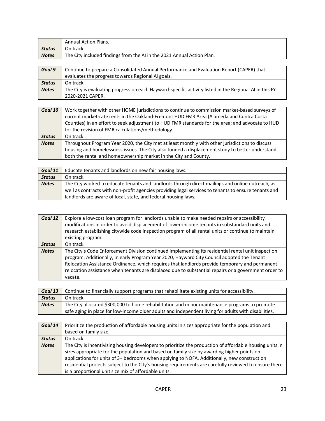|              | <b>Annual Action Plans.</b>                                            |
|--------------|------------------------------------------------------------------------|
| Status       | On track.                                                              |
| <b>Notes</b> | The City included findings from the AI in the 2021 Annual Action Plan. |

| Goal 9        | Continue to prepare a Consolidated Annual Performance and Evaluation Report (CAPER) that               |
|---------------|--------------------------------------------------------------------------------------------------------|
|               | evaluates the progress towards Regional AI goals.                                                      |
| <b>Status</b> | On track.                                                                                              |
| <b>Notes</b>  | The City is evaluating progress on each Hayward-specific activity listed in the Regional AI in this FY |
|               | 2020-2021 CAPER.                                                                                       |

| Goal 10       | Work together with other HOME jurisdictions to continue to commission market-based surveys of    |
|---------------|--------------------------------------------------------------------------------------------------|
|               | current market-rate rents in the Oakland-Fremont HUD FMR Area (Alameda and Contra Costa          |
|               | Counties) in an effort to seek adjustment to HUD FMR standards for the area; and advocate to HUD |
|               | for the revision of FMR calculations/methodology.                                                |
|               |                                                                                                  |
| <b>Status</b> | On track.                                                                                        |
| <b>Notes</b>  | Throughout Program Year 2020, the City met at least monthly with other jurisdictions to discuss  |
|               | housing and homelessness issues. The City also funded a displacement study to better understand  |

| Goal 11       | Educate tenants and landlords on new fair housing laws.                                              |
|---------------|------------------------------------------------------------------------------------------------------|
| <b>Status</b> | On track.                                                                                            |
| <b>Notes</b>  | The City worked to educate tenants and landlords through direct mailings and online outreach, as     |
|               | well as contracts with non-profit agencies providing legal services to tenants to ensure tenants and |
|               | landlords are aware of local, state, and federal housing laws.                                       |

| Goal 12       | Explore a low-cost loan program for landlords unable to make needed repairs or accessibility<br>modifications in order to avoid displacement of lower-income tenants in substandard units and<br>research establishing citywide code inspection program of all rental units or continue to maintain<br>existing program.                                                                                              |
|---------------|-----------------------------------------------------------------------------------------------------------------------------------------------------------------------------------------------------------------------------------------------------------------------------------------------------------------------------------------------------------------------------------------------------------------------|
| <b>Status</b> | On track.                                                                                                                                                                                                                                                                                                                                                                                                             |
| <b>Notes</b>  | The City's Code Enforcement Division continued implementing its residential rental unit inspection<br>program. Additionally, in early Program Year 2020, Hayward City Council adopted the Tenant<br>Relocation Assistance Ordinance, which requires that landlords provide temporary and permanent<br>relocation assistance when tenants are displaced due to substantial repairs or a government order to<br>vacate. |

|               | <b>Goal 13</b> Continue to financially support programs that rehabilitate existing units for accessibility. |
|---------------|-------------------------------------------------------------------------------------------------------------|
| <b>Status</b> | On track.                                                                                                   |
| <b>Notes</b>  | The City allocated \$300,000 to home rehabilitation and minor maintenance programs to promote               |
|               | safe aging in place for low-income older adults and independent living for adults with disabilities.        |

| Goal 14       | Prioritize the production of affordable housing units in sizes appropriate for the population and        |
|---------------|----------------------------------------------------------------------------------------------------------|
|               | based on family size.                                                                                    |
| <b>Status</b> | On track.                                                                                                |
| <b>Notes</b>  | The City is incentivizing housing developers to prioritize the production of affordable housing units in |
|               | sizes appropriate for the population and based on family size by awarding higher points on               |
|               | applications for units of 3+ bedrooms when applying to NOFA. Additionally, new construction              |
|               | residential projects subject to the City's housing requirements are carefully reviewed to ensure there   |
|               | is a proportional unit size mix of affordable units.                                                     |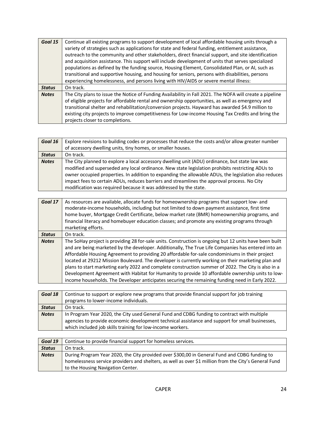| Goal 15       | Continue all existing programs to support development of local affordable housing units through a<br>variety of strategies such as applications for state and federal funding, entitlement assistance,<br>outreach to the community and other stakeholders, direct financial support, and site identification<br>and acquisition assistance. This support will include development of units that serves specialized<br>populations as defined by the funding source, Housing Element, Consolidated Plan, or AI, such as |
|---------------|-------------------------------------------------------------------------------------------------------------------------------------------------------------------------------------------------------------------------------------------------------------------------------------------------------------------------------------------------------------------------------------------------------------------------------------------------------------------------------------------------------------------------|
|               | transitional and supportive housing, and housing for seniors, persons with disabilities, persons                                                                                                                                                                                                                                                                                                                                                                                                                        |
|               | experiencing homelessness, and persons living with HIV/AIDS or severe mental illness:                                                                                                                                                                                                                                                                                                                                                                                                                                   |
| <b>Status</b> | On track.                                                                                                                                                                                                                                                                                                                                                                                                                                                                                                               |
| <b>Notes</b>  | The City plans to issue the Notice of Funding Availability in Fall 2021. The NOFA will create a pipeline<br>of eligible projects for affordable rental and ownership opportunities, as well as emergency and<br>transitional shelter and rehabilitation/conversion projects. Hayward has awarded \$4.9 million to<br>existing city projects to improve competitiveness for Low-income Housing Tax Credits and bring the<br>projects closer to completions.                                                              |

| Goal 16       | Explore revisions to building codes or processes that reduce the costs and/or allow greater number   |
|---------------|------------------------------------------------------------------------------------------------------|
|               | of accessory dwelling units, tiny homes, or smaller houses.                                          |
| <b>Status</b> | On track.                                                                                            |
| <b>Notes</b>  | The City planned to explore a local accessory dwelling unit (ADU) ordinance, but state law was       |
|               | modified and superseded any local ordinance. New state legislation prohibits restricting ADUs to     |
|               | owner occupied properties. In addition to expanding the allowable ADUs, the legislation also reduces |
|               | impact fees to certain ADUs, reduces barriers and streamlines the approval process. No City          |
|               | modification was required because it was addressed by the state.                                     |

| Goal 17       | As resources are available, allocate funds for homeownership programs that support low- and<br>moderate-income households, including but not limited to down payment assistance, first time<br>home buyer, Mortgage Credit Certificate, below market rate (BMR) homeownership programs, and<br>financial literacy and homebuyer education classes; and promote any existing programs through<br>marketing efforts.                                                                                                                                                                                                                                                                                                                 |
|---------------|------------------------------------------------------------------------------------------------------------------------------------------------------------------------------------------------------------------------------------------------------------------------------------------------------------------------------------------------------------------------------------------------------------------------------------------------------------------------------------------------------------------------------------------------------------------------------------------------------------------------------------------------------------------------------------------------------------------------------------|
| <b>Status</b> | On track.                                                                                                                                                                                                                                                                                                                                                                                                                                                                                                                                                                                                                                                                                                                          |
| <b>Notes</b>  | The SoHay project is providing 28 for-sale units. Construction is ongoing but 12 units have been built<br>and are being marketed by the developer. Additionally, The True Life Companies has entered into an<br>Affordable Housing Agreement to providing 20 affordable for-sale condominiums in their project<br>located at 29212 Mission Boulevard. The developer is currently working on their marketing plan and<br>plans to start marketing early 2022 and complete construction summer of 2022. The City is also in a<br>Development Agreement with Habitat for Humanity to provide 10 affordable ownership units to low-<br>income households. The Developer anticipates securing the remaining funding need in Early 2022. |

| Goal 18       | Continue to support or explore new programs that provide financial support for job training     |
|---------------|-------------------------------------------------------------------------------------------------|
|               | programs to lower-income individuals.                                                           |
| <b>Status</b> | On track.                                                                                       |
| <b>Notes</b>  | In Program Year 2020, the City used General Fund and CDBG funding to contract with multiple     |
|               | agencies to provide economic development technical assistance and support for small businesses, |
|               | which included job skills training for low-income workers.                                      |

| Goal 19       | Continue to provide financial support for homeless services.                                          |
|---------------|-------------------------------------------------------------------------------------------------------|
| <b>Status</b> | On track.                                                                                             |
| <b>Notes</b>  | During Program Year 2020, the City provided over \$300,00 in General Fund and CDBG funding to         |
|               | homelessness service providers and shelters, as well as over \$1 million from the City's General Fund |
|               | to the Housing Navigation Center.                                                                     |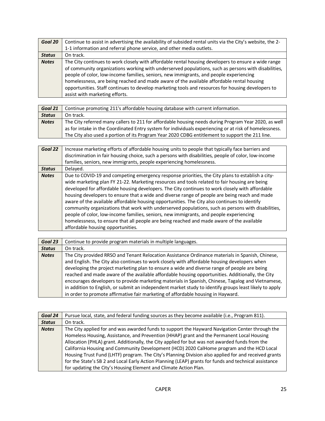| Goal 20       | Continue to assist in advertising the availability of subsided rental units via the City's website, the 2- |
|---------------|------------------------------------------------------------------------------------------------------------|
|               | 1-1 information and referral phone service, and other media outlets.                                       |
| <b>Status</b> | On track.                                                                                                  |
| <b>Notes</b>  | The City continues to work closely with affordable rental housing developers to ensure a wide range        |
|               | of community organizations working with underserved populations, such as persons with disabilities,        |
|               | people of color, low-income families, seniors, new immigrants, and people experiencing                     |
|               | homelessness, are being reached and made aware of the available affordable rental housing                  |
|               | opportunities. Staff continues to develop marketing tools and resources for housing developers to          |
|               | assist with marketing efforts.                                                                             |

| Goal 21       | Continue promoting 211's affordable housing database with current information.                         |
|---------------|--------------------------------------------------------------------------------------------------------|
| <b>Status</b> | On track.                                                                                              |
| <b>Notes</b>  | The City referred many callers to 211 for affordable housing needs during Program Year 2020, as well   |
|               | as for intake in the Coordinated Entry system for individuals experiencing or at risk of homelessness. |
|               | The City also used a portion of its Program Year 2020 CDBG entitlement to support the 211 line.        |

| Goal 22       | Increase marketing efforts of affordable housing units to people that typically face barriers and<br>discrimination in fair housing choice, such a persons with disabilities, people of color, low-income<br>families, seniors, new immigrants, people experiencing homelessness.                                                                                                                                                                                                                                                                                                                                                                                                                                                                                                                                                       |
|---------------|-----------------------------------------------------------------------------------------------------------------------------------------------------------------------------------------------------------------------------------------------------------------------------------------------------------------------------------------------------------------------------------------------------------------------------------------------------------------------------------------------------------------------------------------------------------------------------------------------------------------------------------------------------------------------------------------------------------------------------------------------------------------------------------------------------------------------------------------|
| <b>Status</b> | Delayed.                                                                                                                                                                                                                                                                                                                                                                                                                                                                                                                                                                                                                                                                                                                                                                                                                                |
| <b>Notes</b>  | Due to COVID-19 and competing emergency response priorities, the City plans to establish a city-<br>wide marketing plan FY 21-22. Marketing resources and tools related to fair housing are being<br>developed for affordable housing developers. The City continues to work closely with affordable<br>housing developers to ensure that a wide and diverse range of people are being reach and made<br>aware of the available affordable housing opportunities. The City also continues to identify<br>community organizations that work with underserved populations, such as persons with disabilities,<br>people of color, low-income families, seniors, new immigrants, and people experiencing<br>homelessness, to ensure that all people are being reached and made aware of the available<br>affordable housing opportunities. |

| Goal 23       | Continue to provide program materials in multiple languages.                                           |
|---------------|--------------------------------------------------------------------------------------------------------|
| <b>Status</b> | On track.                                                                                              |
| <b>Notes</b>  | The City provided RRSO and Tenant Relocation Assistance Ordinance materials in Spanish, Chinese,       |
|               | and English. The City also continues to work closely with affordable housing developers when           |
|               | developing the project marketing plan to ensure a wide and diverse range of people are being           |
|               | reached and made aware of the available affordable housing opportunities. Additionally, the City       |
|               | encourages developers to provide marketing materials in Spanish, Chinese, Tagalog and Vietnamese,      |
|               | in addition to English, or submit an independent market study to identify groups least likely to apply |
|               | in order to promote affirmative fair marketing of affordable housing in Hayward.                       |

| Goal 24       | Pursue local, state, and federal funding sources as they become available (i.e., Program 811).        |
|---------------|-------------------------------------------------------------------------------------------------------|
| <b>Status</b> | On track.                                                                                             |
| <b>Notes</b>  | The City applied for and was awarded funds to support the Hayward Navigation Center through the       |
|               | Homeless Housing, Assistance, and Prevention (HHAP) grant and the Permanent Local Housing             |
|               | Allocation (PHLA) grant. Additionally, the City applied for but was not awarded funds from the        |
|               | California Housing and Community Development (HCD) 2020 CalHome program and the HCD Local             |
|               | Housing Trust Fund (LHTF) program. The City's Planning Division also applied for and received grants  |
|               | for the State's SB 2 and Local Early Action Planning (LEAP) grants for funds and technical assistance |
|               | for updating the City's Housing Element and Climate Action Plan.                                      |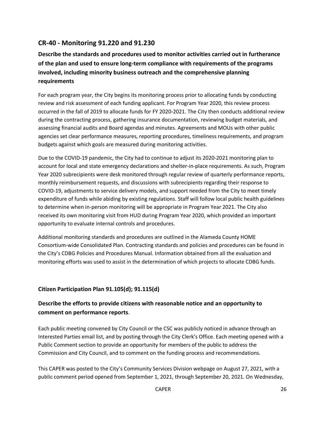### <span id="page-26-0"></span>**CR-40 - Monitoring 91.220 and 91.230**

### **Describe the standards and procedures used to monitor activities carried out in furtherance of the plan and used to ensure long-term compliance with requirements of the programs involved, including minority business outreach and the comprehensive planning requirements**

For each program year, the City begins its monitoring process prior to allocating funds by conducting review and risk assessment of each funding applicant. For Program Year 2020, this review process occurred in the fall of 2019 to allocate funds for FY 2020-2021. The City then conducts additional review during the contracting process, gathering insurance documentation, reviewing budget materials, and assessing financial audits and Board agendas and minutes. Agreements and MOUs with other public agencies set clear performance measures, reporting procedures, timeliness requirements, and program budgets against which goals are measured during monitoring activities.

Due to the COVID-19 pandemic, the City had to continue to adjust its 2020-2021 monitoring plan to account for local and state emergency declarations and shelter-in-place requirements. As such, Program Year 2020 subrecipients were desk monitored through regular review of quarterly performance reports, monthly reimbursement requests, and discussions with subrecipients regarding their response to COVID-19, adjustments to service delivery models, and support needed from the City to meet timely expenditure of funds while abiding by existing regulations. Staff will follow local public health guidelines to determine when in-person monitoring will be appropriate in Program Year 2021. The City also received its own monitoring visit from HUD during Program Year 2020, which provided an important opportunity to evaluate internal controls and procedures.

Additional monitoring standards and procedures are outlined in the Alameda County HOME Consortium-wide Consolidated Plan. Contracting standards and policies and procedures can be found in the City's CDBG Policies and Procedures Manual. Information obtained from all the evaluation and monitoring efforts was used to assist in the determination of which projects to allocate CDBG funds.

### **Citizen Participation Plan 91.105(d); 91.115(d)**

### **Describe the efforts to provide citizens with reasonable notice and an opportunity to comment on performance reports**.

Each public meeting convened by City Council or the CSC was publicly noticed in advance through an Interested Parties email list, and by posting through the City Clerk's Office. Each meeting opened with a Public Comment section to provide an opportunity for members of the public to address the Commission and City Council, and to comment on the funding process and recommendations.

This CAPER was posted to the City's Community Services Division webpage on August 27, 2021, with a public comment period opened from September 1, 2021, through September 20, 2021. On Wednesday,